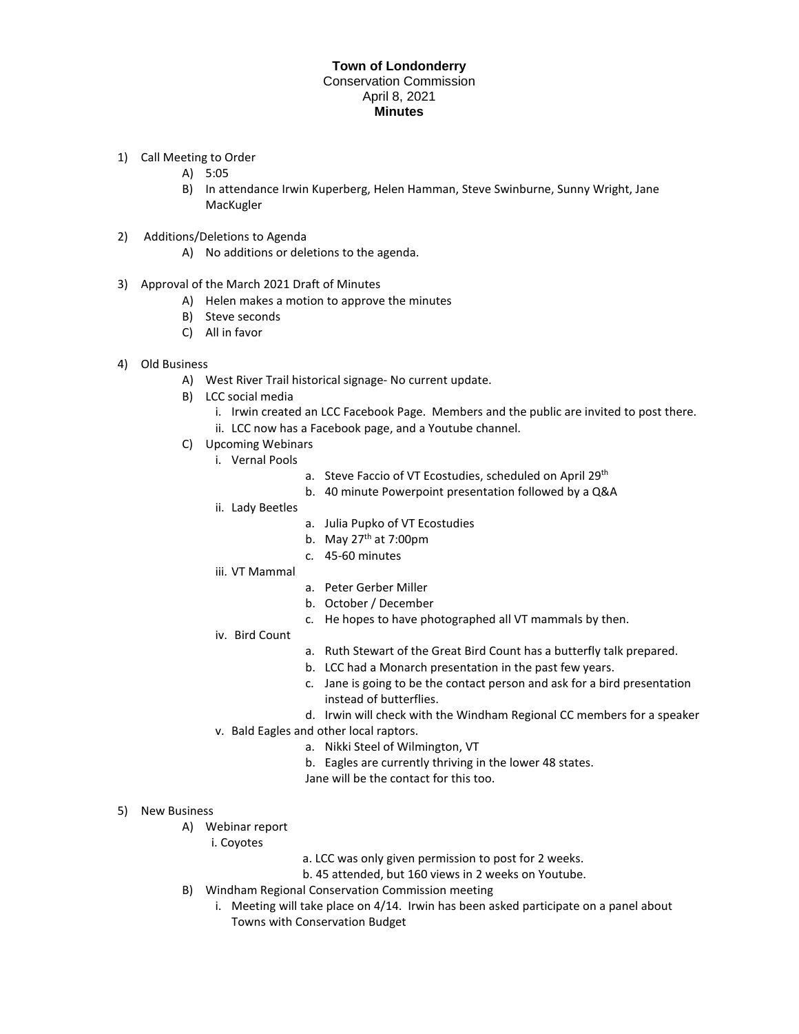## **Town of Londonderry**  Conservation Commission April 8, 2021 **Minutes**

- 1) Call Meeting to Order
	- A) 5:05
	- B) In attendance Irwin Kuperberg, Helen Hamman, Steve Swinburne, Sunny Wright, Jane MacKugler
- 2) Additions/Deletions to Agenda
	- A) No additions or deletions to the agenda.
- 3) Approval of the March 2021 Draft of Minutes
	- A) Helen makes a motion to approve the minutes
	- B) Steve seconds
	- C) All in favor
- 4) Old Business
	- A) West River Trail historical signage- No current update.
	- B) LCC social media
		- i. Irwin created an LCC Facebook Page. Members and the public are invited to post there.
		- ii. LCC now has a Facebook page, and a Youtube channel.
	- C) Upcoming Webinars
		- i. Vernal Pools
			- a. Steve Faccio of VT Ecostudies, scheduled on April 29<sup>th</sup>
			- b. 40 minute Powerpoint presentation followed by a Q&A
		- ii. Lady Beetles
			- a. Julia Pupko of VT Ecostudies
			- b. May  $27<sup>th</sup>$  at 7:00pm
			- c. 45-60 minutes
		- iii. VT Mammal
- a. Peter Gerber Miller
- b. October / December
- c. He hopes to have photographed all VT mammals by then.
- iv. Bird Count
- a. Ruth Stewart of the Great Bird Count has a butterfly talk prepared.
- b. LCC had a Monarch presentation in the past few years.
- c. Jane is going to be the contact person and ask for a bird presentation instead of butterflies.
- d. Irwin will check with the Windham Regional CC members for a speaker
- v. Bald Eagles and other local raptors.
	- a. Nikki Steel of Wilmington, VT
	- b. Eagles are currently thriving in the lower 48 states.
	- Jane will be the contact for this too.
- 5) New Business
	- A) Webinar report
		- i. Coyotes
- a. LCC was only given permission to post for 2 weeks.
- b. 45 attended, but 160 views in 2 weeks on Youtube.
- B) Windham Regional Conservation Commission meeting
	- i. Meeting will take place on 4/14. Irwin has been asked participate on a panel about Towns with Conservation Budget